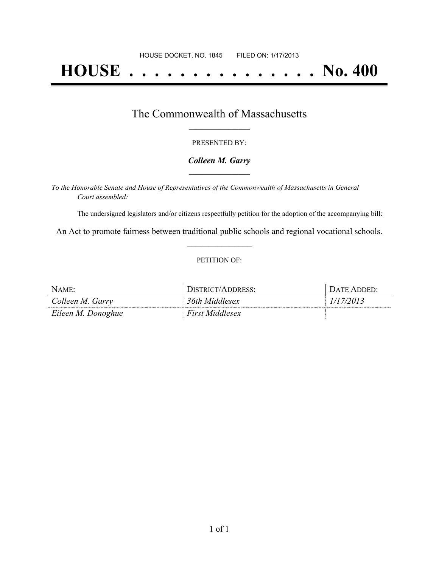# **HOUSE . . . . . . . . . . . . . . . No. 400**

### The Commonwealth of Massachusetts **\_\_\_\_\_\_\_\_\_\_\_\_\_\_\_\_\_**

#### PRESENTED BY:

#### *Colleen M. Garry* **\_\_\_\_\_\_\_\_\_\_\_\_\_\_\_\_\_**

*To the Honorable Senate and House of Representatives of the Commonwealth of Massachusetts in General Court assembled:*

The undersigned legislators and/or citizens respectfully petition for the adoption of the accompanying bill:

An Act to promote fairness between traditional public schools and regional vocational schools. **\_\_\_\_\_\_\_\_\_\_\_\_\_\_\_**

#### PETITION OF:

| <b>NAME</b>        | <b>DISTRICT/ADDRESS:</b> | $\lambda$ TF |
|--------------------|--------------------------|--------------|
| Colleen M. Garry   | 36th Middlesex           | 2013         |
| Eileen M. Donoghue | First Middlesex          |              |